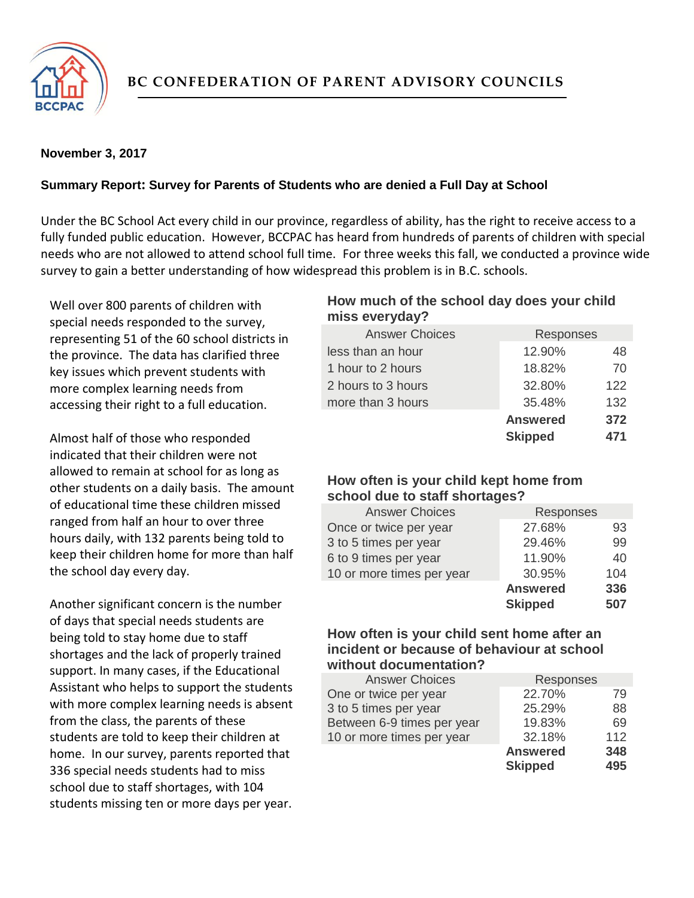

## **November 3, 2017**

## **Summary Report: Survey for Parents of Students who are denied a Full Day at School**

Under the BC School Act every child in our province, regardless of ability, has the right to receive access to a fully funded public education. However, BCCPAC has heard from hundreds of parents of children with special needs who are not allowed to attend school full time. For three weeks this fall, we conducted a province wide survey to gain a better understanding of how widespread this problem is in B.C. schools.

Well over 800 parents of children with special needs responded to the survey, representing 51 of the 60 school districts in the province. The data has clarified three key issues which prevent students with more complex learning needs from accessing their right to a full education.

Almost half of those who responded indicated that their children were not allowed to remain at school for as long as other students on a daily basis. The amount of educational time these children missed ranged from half an hour to over three hours daily, with 132 parents being told to keep their children home for more than half the school day every day.

Another significant concern is the number of days that special needs students are being told to stay home due to staff shortages and the lack of properly trained support. In many cases, if the Educational Assistant who helps to support the students with more complex learning needs is absent from the class, the parents of these students are told to keep their children at home. In our survey, parents reported that 336 special needs students had to miss school due to staff shortages, with 104 students missing ten or more days per year.

## **How much of the school day does your child miss everyday?**

| <b>Answer Choices</b> | <b>Responses</b> |     |
|-----------------------|------------------|-----|
| less than an hour     | 12.90%           | 48  |
| 1 hour to 2 hours     | 18.82%           | 70  |
| 2 hours to 3 hours    | 32.80%           | 122 |
| more than 3 hours     | 35.48%           | 132 |
|                       | <b>Answered</b>  | 372 |
|                       | <b>Skipped</b>   | 471 |

# **How often is your child kept home from school due to staff shortages?**

| <b>Answer Choices</b>     | Responses       |     |
|---------------------------|-----------------|-----|
| Once or twice per year    | 27.68%          | 93  |
| 3 to 5 times per year     | 29.46%          | 99  |
| 6 to 9 times per year     | 11.90%          | 40  |
| 10 or more times per year | 30.95%          | 104 |
|                           | <b>Answered</b> | 336 |
|                           | <b>Skipped</b>  | 507 |

### **How often is your child sent home after an incident or because of behaviour at school without documentation?**

| <b>Answer Choices</b>      | Responses       |     |
|----------------------------|-----------------|-----|
| One or twice per year      | 22.70%          | 79  |
| 3 to 5 times per year      | 25.29%          | 88  |
| Between 6-9 times per year | 19.83%          | 69  |
| 10 or more times per year  | 32.18%          | 112 |
|                            | <b>Answered</b> | 348 |
|                            | <b>Skipped</b>  | 495 |